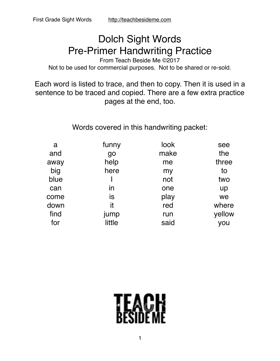#### Dolch Sight Words Pre-Primer Handwriting Practice

From Teach Beside Me ©2017 Not to be used for commercial purposes. Not to be shared or re-sold.

Each word is listed to trace, and then to copy. Then it is used in a sentence to be traced and copied. There are a few extra practice pages at the end, too.

Words covered in this handwriting packet:

| a    | funny  | look | see    |
|------|--------|------|--------|
| and  | go     | make | the    |
| away | help   | me   | three  |
| big  | here   | my   | to     |
| blue |        | not  | two    |
| can  | in     | one  | up     |
| come | is     | play | we     |
| down | it     | red  | where  |
| find | jump   | run  | yellow |
| for  | little | said | you    |

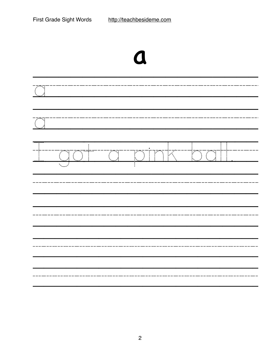|            |                           |                                                                                                                | $\boldsymbol{\mathsf{a}}$ |  |
|------------|---------------------------|----------------------------------------------------------------------------------------------------------------|---------------------------|--|
| $\bigcirc$ |                           |                                                                                                                |                           |  |
| $\sum$     |                           |                                                                                                                |                           |  |
|            |                           | $\textcolor{blue}{\textstyle\bigcirc\textstyle\!\int\!}\textcolor{blue}{\textstyle\bigcirc\textstyle\!\int\!}$ | <u>tomixword</u>          |  |
|            |                           |                                                                                                                |                           |  |
|            |                           |                                                                                                                |                           |  |
|            |                           |                                                                                                                |                           |  |
| ---        | ----<br>--------<br>----- |                                                                                                                | ----                      |  |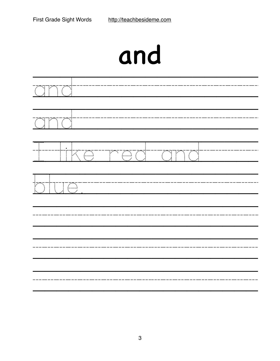### and

| TO<br>en<br>All        |                  |  |
|------------------------|------------------|--|
| TCI                    |                  |  |
| TIKO                   | <u>mrod tand</u> |  |
| $\sum_{i=1}^{n}$<br>IO |                  |  |
|                        |                  |  |
|                        |                  |  |
|                        |                  |  |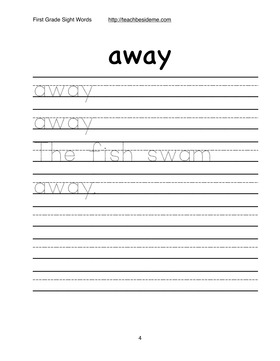| away                                                                                                                                                                          |  |  |  |  |
|-------------------------------------------------------------------------------------------------------------------------------------------------------------------------------|--|--|--|--|
|                                                                                                                                                                               |  |  |  |  |
| $\bar{\wedge}$                                                                                                                                                                |  |  |  |  |
| €<br>٠.<br>$\frac{1}{2}$ , $\frac{1}{2}$<br>ZT<br>V<br>राक्<br>$\mathcal{E}_\text{a}$<br>١<br>٦<br>$\overline{\triangle}$<br>ļ.<br>$\mathcal{C}$<br>ð,<br>į.<br>$\mathcal{L}$ |  |  |  |  |
|                                                                                                                                                                               |  |  |  |  |
|                                                                                                                                                                               |  |  |  |  |
|                                                                                                                                                                               |  |  |  |  |
|                                                                                                                                                                               |  |  |  |  |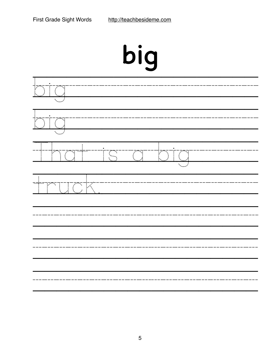# big

| <u>STOT</u><br>i<br>L                                                                                                |    |                            |              |  |
|----------------------------------------------------------------------------------------------------------------------|----|----------------------------|--------------|--|
| $\vdots$<br>$\overline{\mathbb{C}}$<br>i<br>I                                                                        |    |                            |              |  |
| .<br>$\overline{\mathbb{C}}$<br>$\begin{bmatrix} \begin{matrix} - & & \ - & \end{matrix} \end{bmatrix}$              | IS | $\sum_{i=1}^{n}$<br>I<br>J | <u> TOTO</u> |  |
| T.<br>$\mathbb{Z}$<br>٦<br>$\frac{1}{4}$<br>$\sum_{i=1}^{n}$<br>Y<br> <br> <br> <br> <br>$\mathcal{L}^{\mathcal{E}}$ |    |                            |              |  |
|                                                                                                                      |    |                            |              |  |
|                                                                                                                      |    |                            |              |  |
|                                                                                                                      |    |                            |              |  |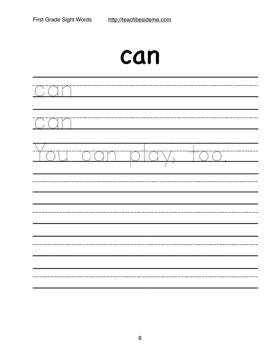| <u> COT</u>          |                         |  |
|----------------------|-------------------------|--|
| <u>COM</u>           |                         |  |
| $\frac{1}{\sqrt{2}}$ | <u>ou oan play, too</u> |  |
|                      |                         |  |
|                      |                         |  |
|                      |                         |  |
|                      |                         |  |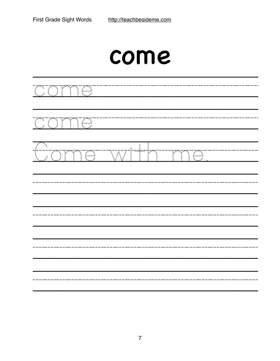| <u>oomo</u>                                  |                                   |                       |  |
|----------------------------------------------|-----------------------------------|-----------------------|--|
| TO<br>$\mathcal{L}$<br>$\sum_{i=1}^{n}$<br>T |                                   |                       |  |
| Come                                         | <b>WT</b><br>Filippin<br>Si<br>ł. | TT <sub>I</sub><br>TO |  |
|                                              |                                   |                       |  |
|                                              |                                   |                       |  |
|                                              |                                   |                       |  |
|                                              |                                   |                       |  |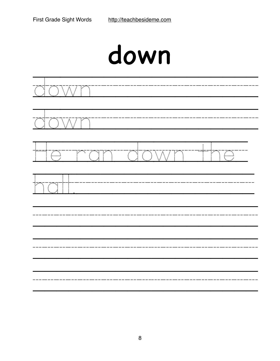#### down

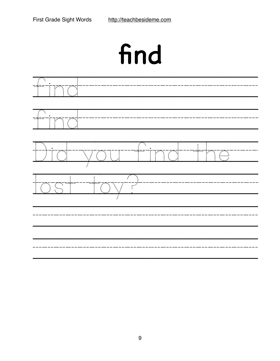### find

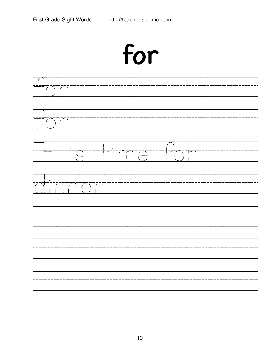| F.<br><u>가</u><br><u>tor</u> |     |    |                                    |  |
|------------------------------|-----|----|------------------------------------|--|
| ТŢ,<br>TOM                   |     |    |                                    |  |
|                              | TÇ  | mo | <u>र प्राप्त</u><br><u>ming pr</u> |  |
| $\sum_{i=1}^{n}$<br>IT       | TOM |    |                                    |  |
|                              |     |    |                                    |  |
|                              |     |    |                                    |  |
|                              |     |    |                                    |  |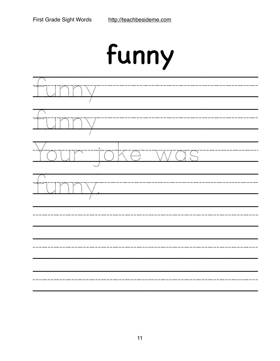### funny

| ٦<br>$\begin{array}{c}\n\vdots \\ \vdots \\ \vdots\n\end{array}$<br>$\ddot{\ddot{\phantom{a}}}\,\ddot{\phantom{a}}$<br>$\ddot{\phantom{a}}$ |                            |
|---------------------------------------------------------------------------------------------------------------------------------------------|----------------------------|
| F<br>न्त्यूनन<br>$\bigvee$<br>ir<br>İ                                                                                                       |                            |
| $\mathbb{R}^2$<br><u>our toke</u><br>Ţ                                                                                                      | TW.<br>IS<br>$\mathcal{L}$ |
| 73<br>$\sum$<br>$\begin{bmatrix} \vdots \\ \vdots \\ \vdots \end{bmatrix}$                                                                  |                            |
|                                                                                                                                             |                            |
|                                                                                                                                             |                            |
|                                                                                                                                             |                            |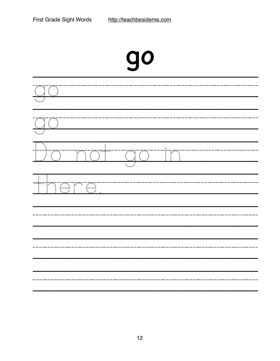|                                                                     | <b>go</b>                                  |
|---------------------------------------------------------------------|--------------------------------------------|
| $\sum_{i=1}^{n}$                                                    |                                            |
| $\tilde{\mathbb{R}}_{m}$                                            |                                            |
| ्<br>्र<br>$\prod_{i=1}^{n}$<br>T<br>Y<br>٦                         | $\prod_{i=1}^{n}$<br>$\bigcirc$ $\bigcirc$ |
| $\overline{\cdots}$<br>$\mathbb{R}^{n \times n}$<br>T.<br>ł.<br>TOT |                                            |
|                                                                     |                                            |
|                                                                     |                                            |
|                                                                     |                                            |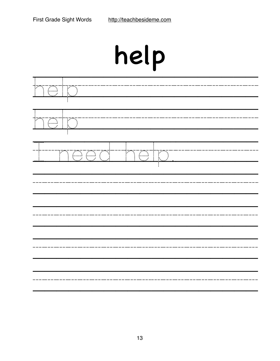# help

| <u>TCT</u><br>IK             |                                                                                                                          |                |
|------------------------------|--------------------------------------------------------------------------------------------------------------------------|----------------|
| $\left( \frac{1}{2} \right)$ | ľ                                                                                                                        |                |
| Y                            | <u> 1000 i</u><br>TCT<br>$\begin{array}{c}\n\overrightarrow{a} \\ \overrightarrow{b} \\ \overrightarrow{c}\n\end{array}$ | $\mathbb{R}^n$ |
|                              |                                                                                                                          |                |
|                              |                                                                                                                          |                |
|                              |                                                                                                                          |                |
|                              |                                                                                                                          |                |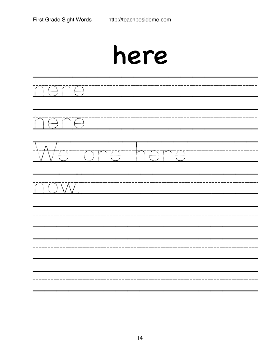#### here

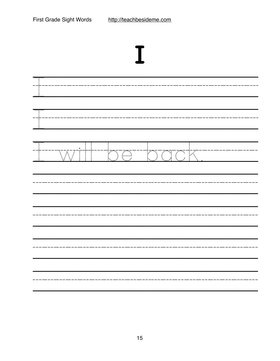|                          | $\overline{\mathbb{A}}$ .<br>j<br>$\prod_{i=1}^{n}$ | <u> Toto Totok </u> |       |  |
|--------------------------|-----------------------------------------------------|---------------------|-------|--|
|                          |                                                     |                     |       |  |
|                          |                                                     |                     |       |  |
|                          |                                                     |                     |       |  |
|                          |                                                     |                     |       |  |
|                          |                                                     |                     |       |  |
|                          |                                                     |                     |       |  |
| $\overline{\phantom{a}}$ |                                                     |                     |       |  |
|                          |                                                     |                     |       |  |
|                          | ---------------                                     |                     | ----- |  |
|                          |                                                     |                     |       |  |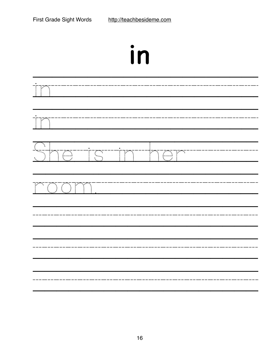|                                                | in      |  |                     |  |  |
|------------------------------------------------|---------|--|---------------------|--|--|
| $\sum_{i=1}^{n}$<br>Y<br>$\ddot{\ddot{\cdot}}$ |         |  |                     |  |  |
| Y<br>$\frac{1}{2}$                             |         |  |                     |  |  |
| Ñ,<br><b>STAG</b>                              |         |  | <u>in the therm</u> |  |  |
| ) (n<br>$\sum_{i=1}^{n}$<br>Y                  | T<br>Ì, |  |                     |  |  |
|                                                |         |  |                     |  |  |
|                                                |         |  |                     |  |  |
|                                                |         |  |                     |  |  |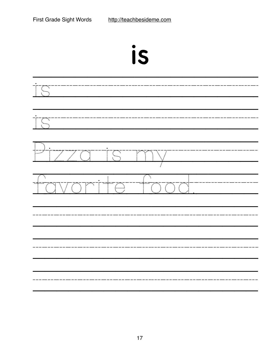| İS                                     |  |
|----------------------------------------|--|
| $\mathbb{C}$<br>$\frac{1}{2}$          |  |
| $\mathbb{Z}$                           |  |
| n<br>$\mathbb{Z}^{\mathbb{Z}}$         |  |
| Σ<br>$\mathcal{F}$<br>٦<br>VOMTO<br>TC |  |
|                                        |  |
|                                        |  |
|                                        |  |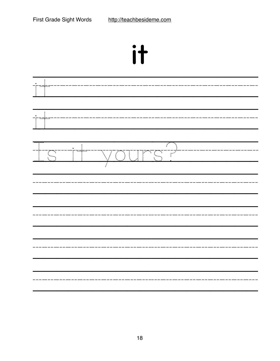|        |                      | if                                                     |                                     |                       |   |
|--------|----------------------|--------------------------------------------------------|-------------------------------------|-----------------------|---|
|        |                      |                                                        |                                     |                       |   |
|        |                      |                                                        |                                     |                       |   |
| N<br>Ţ | rege                 | $\sum_{i=1}^{n}$<br>$\sum_{i=1}^{n}$<br>$\sum_{i=1}^n$ | $\overline{\mathcal{E}}$ .<br>INS F |                       |   |
|        |                      |                                                        |                                     |                       |   |
|        |                      |                                                        |                                     |                       |   |
|        |                      |                                                        |                                     |                       |   |
| ---    | ----<br>------------ | ----<br>-----<br>-----                                 | -----<br>-----<br>-----<br>-----    | -----<br>----<br>---- | . |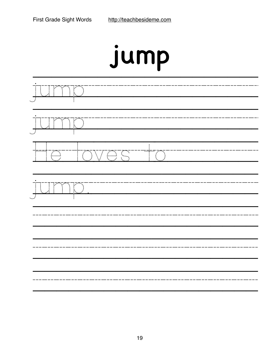# jump

| Y<br>$\prod_{i=1}^n$<br>$\mathbb{C}^{\mathbb{N}}$<br>Ť<br>T | ÌK<br>$\frac{1}{2}$<br>$\ddot{\cdot}$ |  |
|-------------------------------------------------------------|---------------------------------------|--|
|                                                             |                                       |  |
|                                                             | ini ta                                |  |
|                                                             | $\mathbb{R}$                          |  |
|                                                             |                                       |  |
|                                                             |                                       |  |
|                                                             |                                       |  |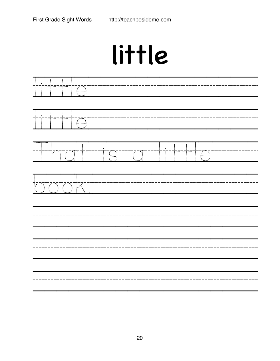#### little

| $\vdots$                 | $\overline{\mathbb{C}}$ |    |                      |    |                              |  |
|--------------------------|-------------------------|----|----------------------|----|------------------------------|--|
| <u>ಸದಕ್ಷಿಸಲಾಗುವುದು ಸ</u> | $\overline{\mathbb{C}}$ |    |                      |    |                              |  |
| .<br>TO<br>i i           | Ť                       | TC | $\boxed{\mathbb{C}}$ | ŧ. | $\overline{\mathbb{C}}$<br>ŧ |  |
| $\vdots$<br><u> XOOK</u> |                         |    |                      |    |                              |  |
|                          |                         |    |                      |    |                              |  |
|                          |                         |    |                      |    |                              |  |
|                          |                         |    |                      |    |                              |  |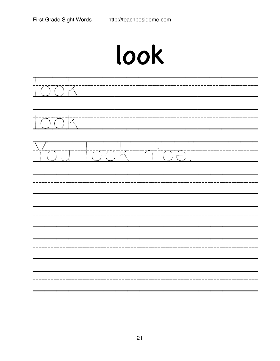### look

|  | <u> Hook mice</u> |
|--|-------------------|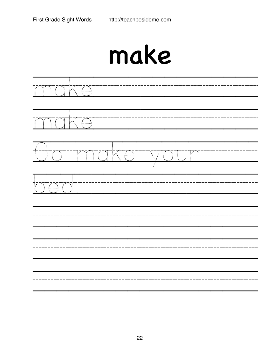### make

|                            | <u>TORTO</u>       |                                       |  |
|----------------------------|--------------------|---------------------------------------|--|
| TOT                        | T<br>K             |                                       |  |
| toro                       | <u>TOIK O</u><br>Y | $\mathbb{R}^{\infty}$<br>$\sum \zeta$ |  |
| ļ<br><u>sed</u><br>li<br>I |                    |                                       |  |
|                            |                    |                                       |  |
|                            |                    |                                       |  |
|                            |                    |                                       |  |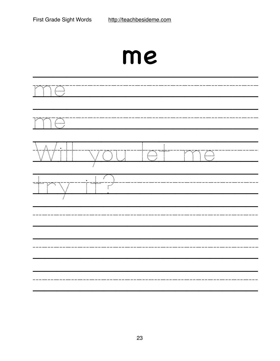#### me

| <u>TO</u>                                      |                                                        |    |    |  |
|------------------------------------------------|--------------------------------------------------------|----|----|--|
| TO                                             |                                                        |    |    |  |
| $\bullet$<br>ŗ<br>$\sum_{i=1}^{n}$<br>$\vdots$ | <b>JUI</b><br><u>VC</u>                                | TO | TO |  |
| Y<br>٦                                         | $\overline{\phantom{a}}$<br>$\vdots$<br>ngno<br>T<br>F |    |    |  |
|                                                |                                                        |    |    |  |
|                                                |                                                        |    |    |  |
|                                                |                                                        |    |    |  |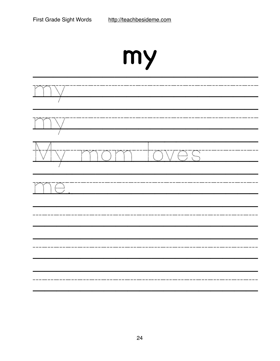#### my

| Ì                        |                                   |                                 |  |
|--------------------------|-----------------------------------|---------------------------------|--|
| $\bigtriangledown$       |                                   |                                 |  |
| $\mathbb N$<br>$\nabla/$ | $\sum_{i=1}^{n}$<br>$\vdots$<br>Ţ | $\prod_{i=1}^{n}$<br><u>VOS</u> |  |
| TO<br>ł                  |                                   |                                 |  |
|                          |                                   |                                 |  |
|                          |                                   |                                 |  |
|                          |                                   |                                 |  |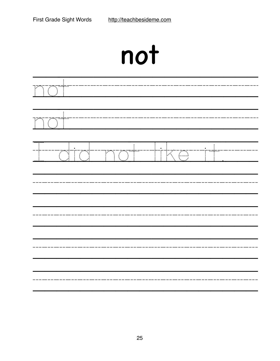### not

| TOT                                  |              |             |                      |  |
|--------------------------------------|--------------|-------------|----------------------|--|
| <b>TOT</b>                           |              |             |                      |  |
| $\mathbb{N}$<br>$\overrightarrow{C}$ | <u> Thot</u> | <b>Hike</b> | $\frac{1}{2}$<br>7.7 |  |
|                                      |              |             |                      |  |
|                                      |              |             |                      |  |
|                                      |              |             |                      |  |
|                                      |              |             |                      |  |
|                                      |              |             |                      |  |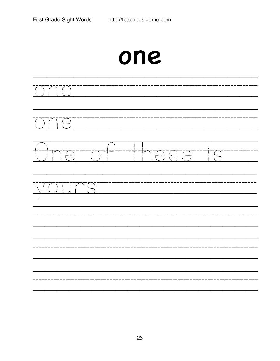| TO<br>$\frac{1}{2}$                        |              |                    |  |
|--------------------------------------------|--------------|--------------------|--|
| TØ                                         |              |                    |  |
| One of                                     | 75           | 1000 10<br>ie<br>i |  |
| $\mathcal{G}^{\mathcal{A}}$<br>$\bigvee$ ( | $\mathbb{C}$ |                    |  |
|                                            |              |                    |  |
|                                            |              |                    |  |
|                                            |              |                    |  |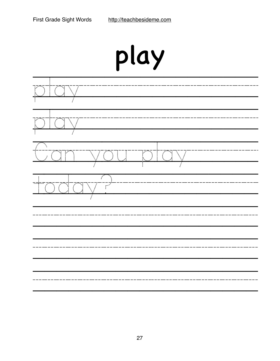## play

| $\bigcirc$ $\bigcirc$ |                                                    |                                   |  |
|-----------------------|----------------------------------------------------|-----------------------------------|--|
| $\Box$                | $\mathbb{R}^3$                                     |                                   |  |
| Can                   | <u>VOT</u><br>$\prod_{i=1}^n$                      | Ţ<br><u> TTCl</u><br>$\mathbb{N}$ |  |
| T                     | $\overline{\mathcal{L}}$ ).<br><u> XONT V</u><br>Ŧ |                                   |  |
|                       |                                                    |                                   |  |
|                       |                                                    |                                   |  |
|                       |                                                    |                                   |  |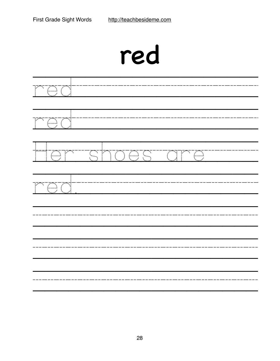### red

| <u>aal</u>       |                         |  |
|------------------|-------------------------|--|
| TOTO             |                         |  |
| i i Circ         | <u> 1000 ano</u><br>TOT |  |
| <u>tota</u><br>ľ |                         |  |
|                  |                         |  |
|                  |                         |  |
|                  |                         |  |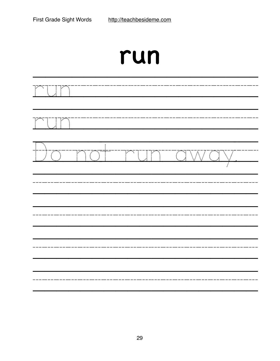#### run

| $\ddot{\ddot{\phantom{a}}}$ |              |                              |                                       |  |  |  |  |
|-----------------------------|--------------|------------------------------|---------------------------------------|--|--|--|--|
| Ţ<br>٦                      |              |                              |                                       |  |  |  |  |
| $\frac{1}{120}$             | <u>mator</u> | <u>reduced</u><br>$\sqrt{1}$ | <u>tawa</u><br>$\mathbb{J}\mathbb{V}$ |  |  |  |  |
|                             |              |                              |                                       |  |  |  |  |
|                             |              |                              |                                       |  |  |  |  |
|                             |              |                              |                                       |  |  |  |  |
|                             |              |                              |                                       |  |  |  |  |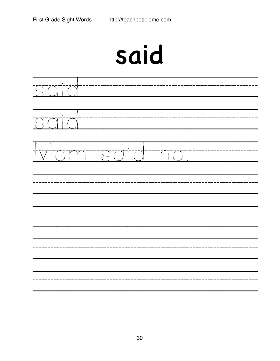### said

| <u>said</u>        |  |  |
|--------------------|--|--|
| <u>said</u>        |  |  |
| <u>Momroaid no</u> |  |  |
|                    |  |  |
|                    |  |  |
|                    |  |  |
|                    |  |  |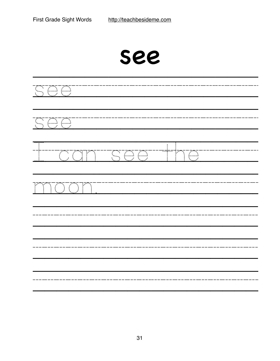see

|   | <b>SOCI</b>         |              |  |
|---|---------------------|--------------|--|
|   | <u>stats</u>        |              |  |
|   | <u> TOUTH TSOUT</u> | Ť<br>T<br>TO |  |
| ľ | <u>motor</u>        |              |  |
|   |                     |              |  |
|   |                     |              |  |
|   |                     |              |  |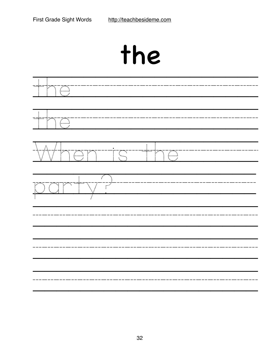

| $\subseteq$<br>$\begin{bmatrix} 1 \\ 1 \\ 1 \\ 1 \end{bmatrix}$                           |                              |  |
|-------------------------------------------------------------------------------------------|------------------------------|--|
| <del></del><br>F<br>$\frac{1}{2}$<br>$\leftarrow$<br>$\mathcal{L}$                        |                              |  |
| <b>IS</b><br>TOT<br>Ŧ<br>$\mathcal{L}_{\mathcal{A}}$                                      | $\overline{\mathbb{C}}$<br>ľ |  |
| $\overline{\phantom{a}}$<br>Ť<br>Y.<br>$\mathbb{R}^2$<br>ł.<br>$\mathcal{L}(\mathcal{A})$ |                              |  |
|                                                                                           |                              |  |
|                                                                                           |                              |  |
|                                                                                           |                              |  |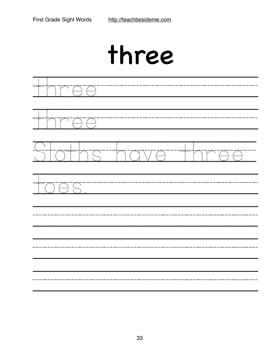#### three

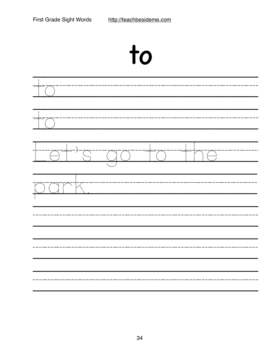|                                                                                                                | $\overline{\mathbf{f}}$ |                      |                     |                  |  |  |
|----------------------------------------------------------------------------------------------------------------|-------------------------|----------------------|---------------------|------------------|--|--|
| $\overline{\cdots}$<br>F<br>$\mathcal{N}_\text{c}$                                                             |                         |                      |                     |                  |  |  |
| $\mathcal{F}_{\mathcal{A}}$                                                                                    |                         |                      |                     |                  |  |  |
| $\overline{\mathbb{C}}$<br>magaa                                                                               | 7                       | $-\frac{1}{2}$<br>IC | T<br>$\mathbb{R}^2$ | ngna<br>Y<br>T T |  |  |
| en porton de la propiedad de la compa<br>En la compa<br>$\mathcal{F}_\mathrm{c}$<br>$\mathcal{L}(\mathcal{A})$ | $\mathbb{K}$            |                      |                     |                  |  |  |
|                                                                                                                |                         |                      |                     |                  |  |  |
|                                                                                                                |                         |                      |                     |                  |  |  |
|                                                                                                                |                         |                      |                     |                  |  |  |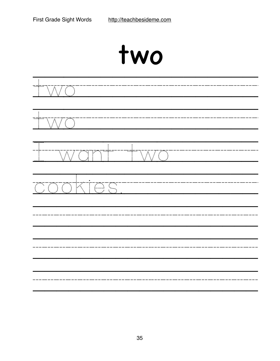#### two

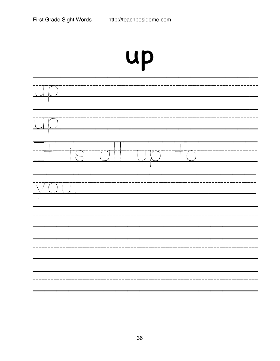#### up

| $\Box \mathbb{C}$                |    |                                                          |              |               |  |
|----------------------------------|----|----------------------------------------------------------|--------------|---------------|--|
| UP                               |    |                                                          |              |               |  |
|                                  | TC | $\textcolor{blue}{\textstyle\bigcirc\textstyle\bigcirc}$ | <u> TUIV</u> | <u>I</u><br>T |  |
| $\sum_{i=1}^n$<br>$\sqrt{\zeta}$ |    |                                                          |              |               |  |
|                                  |    |                                                          |              |               |  |
|                                  |    |                                                          |              |               |  |
|                                  |    |                                                          |              |               |  |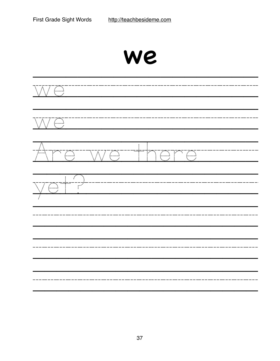#### we

| WG.                     |            |                  |  |
|-------------------------|------------|------------------|--|
| WG.                     |            |                  |  |
| Ara                     | <u>mwe</u> | <u>Tema</u><br>T |  |
| $\overline{1}$<br>VOT P |            |                  |  |
|                         |            |                  |  |
|                         |            |                  |  |
|                         |            |                  |  |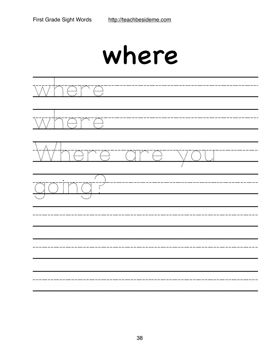#### where

| <u> 1010 10</u><br>WT                                                                            |                                             |  |
|--------------------------------------------------------------------------------------------------|---------------------------------------------|--|
| TOT<br>T<br>W<br>i.                                                                              |                                             |  |
| $\nabla \vec{f}$<br><u>inorro torro</u><br>V                                                     | $\sum_{i=1}^n \frac{1}{n_i}$<br>$\bigvee$ ( |  |
| ١<br>J<br>$\sum_{i=1}^{n}$<br>$\begin{matrix} \vdots \\ \vdots \end{matrix}$<br>$\sum_{i=1}^{n}$ |                                             |  |
|                                                                                                  |                                             |  |
|                                                                                                  |                                             |  |
|                                                                                                  |                                             |  |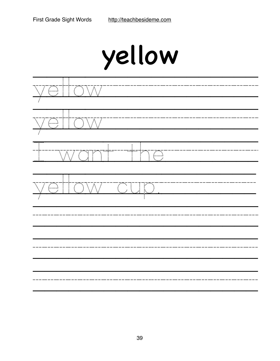### yellow

|                         | <u>TOW</u>                                                                       |                                                 |  |
|-------------------------|----------------------------------------------------------------------------------|-------------------------------------------------|--|
| $\mathbb{Z}$            | ${\mathbb N}{\mathbb N}$<br>$\frac{1}{2}$                                        |                                                 |  |
|                         | $\begin{bmatrix} 1 & 1 \\ 1 & 1 \end{bmatrix}$<br>$\mathop{\rm W}\nolimits$<br>Ţ | $\overline{\mathbb{C}}$<br>$\sqrt{2}$<br>i<br>! |  |
| <b>Text</b><br>$\vdots$ | $\mathbb{R}$<br>JW<br>$\begin{array}{c} \vdots \\ \vdots \\ \vdots \end{array}$  | $\mathcal{L}$<br>JK                             |  |
|                         |                                                                                  |                                                 |  |
|                         |                                                                                  |                                                 |  |
|                         |                                                                                  |                                                 |  |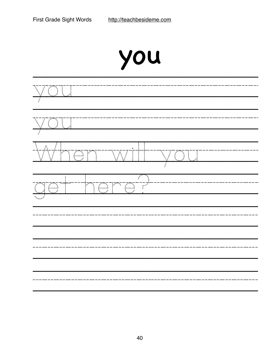| you |  |
|-----|--|
|     |  |

| <u>VOI</u>                                                                                                                                                                                                                                                                                                                                                                                                                            |  |
|---------------------------------------------------------------------------------------------------------------------------------------------------------------------------------------------------------------------------------------------------------------------------------------------------------------------------------------------------------------------------------------------------------------------------------------|--|
| $\sum_{i=1}^n \frac{1}{n_i}$                                                                                                                                                                                                                                                                                                                                                                                                          |  |
| <u> Thom will</u><br>$\setminus \overline{A}$<br>NT.<br><u>VOU</u>                                                                                                                                                                                                                                                                                                                                                                    |  |
| $\overline{\mathcal{L}}$<br>$\begin{picture}(40,40) \put(0,0){\line(1,0){10}} \put(15,0){\line(1,0){10}} \put(15,0){\line(1,0){10}} \put(15,0){\line(1,0){10}} \put(15,0){\line(1,0){10}} \put(15,0){\line(1,0){10}} \put(15,0){\line(1,0){10}} \put(15,0){\line(1,0){10}} \put(15,0){\line(1,0){10}} \put(15,0){\line(1,0){10}} \put(15,0){\line(1,0){10}} \put(15,0){\line(1$<br><u>ac</u><br>TŒ<br>$\mathbb{R}^2$<br>$\frac{1}{2}$ |  |
|                                                                                                                                                                                                                                                                                                                                                                                                                                       |  |
|                                                                                                                                                                                                                                                                                                                                                                                                                                       |  |
|                                                                                                                                                                                                                                                                                                                                                                                                                                       |  |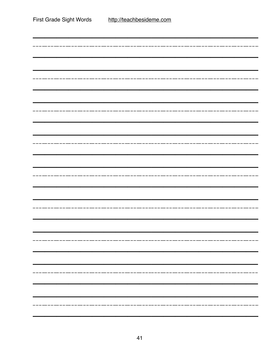| ----------------------                          |  |
|-------------------------------------------------|--|
|                                                 |  |
|                                                 |  |
|                                                 |  |
|                                                 |  |
|                                                 |  |
|                                                 |  |
| __________________                              |  |
|                                                 |  |
|                                                 |  |
|                                                 |  |
|                                                 |  |
|                                                 |  |
|                                                 |  |
| ______________________<br>--------------------- |  |
|                                                 |  |
|                                                 |  |
|                                                 |  |
|                                                 |  |
|                                                 |  |
|                                                 |  |
| ---------------------                           |  |
|                                                 |  |
|                                                 |  |
|                                                 |  |
|                                                 |  |
|                                                 |  |
|                                                 |  |
|                                                 |  |
|                                                 |  |
|                                                 |  |
|                                                 |  |
|                                                 |  |
|                                                 |  |
|                                                 |  |
|                                                 |  |
|                                                 |  |
|                                                 |  |
|                                                 |  |
|                                                 |  |
|                                                 |  |
|                                                 |  |
|                                                 |  |
|                                                 |  |
|                                                 |  |
|                                                 |  |
|                                                 |  |